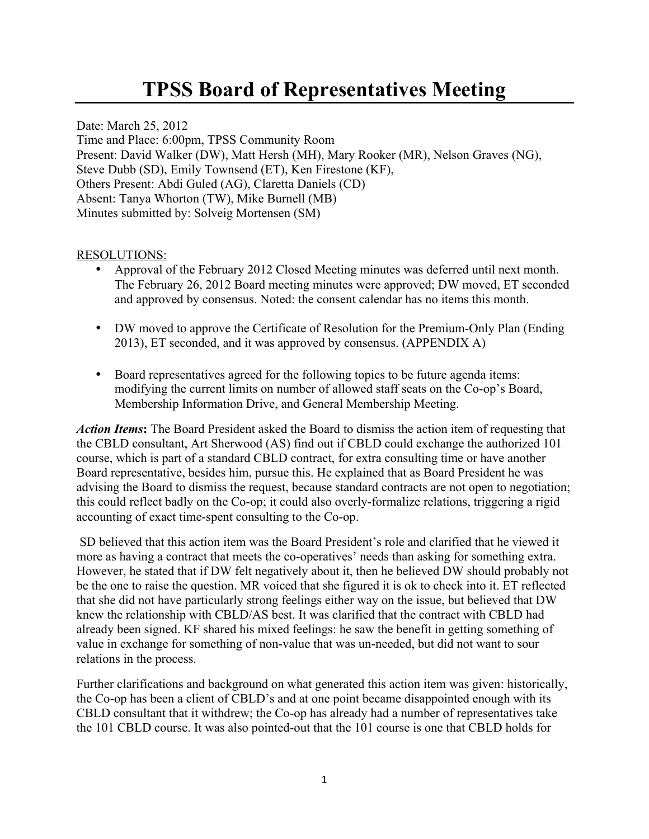# **TPSS Board of Representatives Meeting**

Date: March 25, 2012 Time and Place: 6:00pm, TPSS Community Room Present: David Walker (DW), Matt Hersh (MH), Mary Rooker (MR), Nelson Graves (NG), Steve Dubb (SD), Emily Townsend (ET), Ken Firestone (KF), Others Present: Abdi Guled (AG), Claretta Daniels (CD) Absent: Tanya Whorton (TW), Mike Burnell (MB) Minutes submitted by: Solveig Mortensen (SM)

#### RESOLUTIONS:

- Approval of the February 2012 Closed Meeting minutes was deferred until next month. The February 26, 2012 Board meeting minutes were approved; DW moved, ET seconded and approved by consensus. Noted: the consent calendar has no items this month.
- DW moved to approve the Certificate of Resolution for the Premium-Only Plan (Ending 2013), ET seconded, and it was approved by consensus. (APPENDIX A)
- Board representatives agreed for the following topics to be future agenda items: modifying the current limits on number of allowed staff seats on the Co-op's Board, Membership Information Drive, and General Membership Meeting.

*Action Items***:** The Board President asked the Board to dismiss the action item of requesting that the CBLD consultant, Art Sherwood (AS) find out if CBLD could exchange the authorized 101 course, which is part of a standard CBLD contract, for extra consulting time or have another Board representative, besides him, pursue this. He explained that as Board President he was advising the Board to dismiss the request, because standard contracts are not open to negotiation; this could reflect badly on the Co-op; it could also overly-formalize relations, triggering a rigid accounting of exact time-spent consulting to the Co-op.

SD believed that this action item was the Board President's role and clarified that he viewed it more as having a contract that meets the co-operatives' needs than asking for something extra. However, he stated that if DW felt negatively about it, then he believed DW should probably not be the one to raise the question. MR voiced that she figured it is ok to check into it. ET reflected that she did not have particularly strong feelings either way on the issue, but believed that DW knew the relationship with CBLD/AS best. It was clarified that the contract with CBLD had already been signed. KF shared his mixed feelings: he saw the benefit in getting something of value in exchange for something of non-value that was un-needed, but did not want to sour relations in the process.

Further clarifications and background on what generated this action item was given: historically, the Co-op has been a client of CBLD's and at one point became disappointed enough with its CBLD consultant that it withdrew; the Co-op has already had a number of representatives take the 101 CBLD course. It was also pointed-out that the 101 course is one that CBLD holds for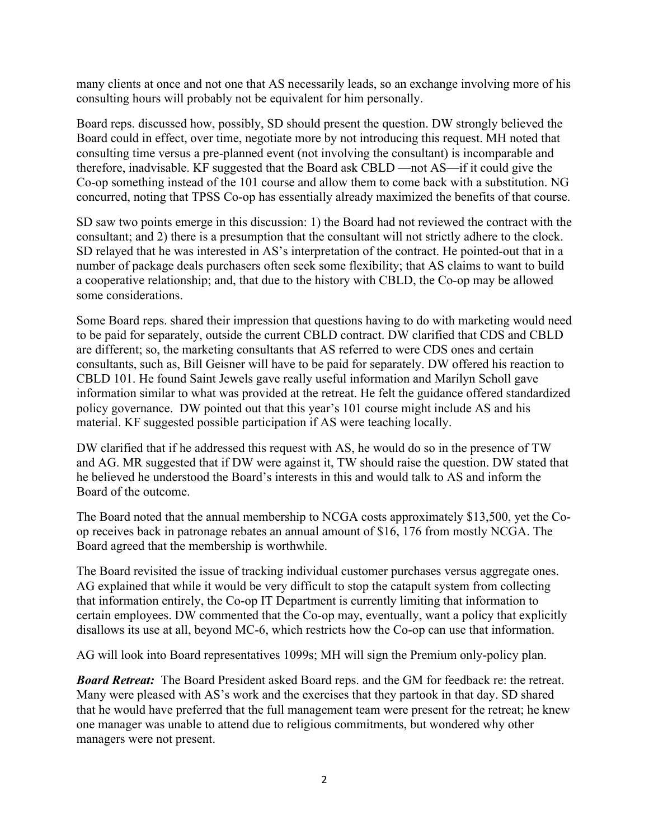many clients at once and not one that AS necessarily leads, so an exchange involving more of his consulting hours will probably not be equivalent for him personally.

Board reps. discussed how, possibly, SD should present the question. DW strongly believed the Board could in effect, over time, negotiate more by not introducing this request. MH noted that consulting time versus a pre-planned event (not involving the consultant) is incomparable and therefore, inadvisable. KF suggested that the Board ask CBLD —not AS—if it could give the Co-op something instead of the 101 course and allow them to come back with a substitution. NG concurred, noting that TPSS Co-op has essentially already maximized the benefits of that course.

SD saw two points emerge in this discussion: 1) the Board had not reviewed the contract with the consultant; and 2) there is a presumption that the consultant will not strictly adhere to the clock. SD relayed that he was interested in AS's interpretation of the contract. He pointed-out that in a number of package deals purchasers often seek some flexibility; that AS claims to want to build a cooperative relationship; and, that due to the history with CBLD, the Co-op may be allowed some considerations.

Some Board reps. shared their impression that questions having to do with marketing would need to be paid for separately, outside the current CBLD contract. DW clarified that CDS and CBLD are different; so, the marketing consultants that AS referred to were CDS ones and certain consultants, such as, Bill Geisner will have to be paid for separately. DW offered his reaction to CBLD 101. He found Saint Jewels gave really useful information and Marilyn Scholl gave information similar to what was provided at the retreat. He felt the guidance offered standardized policy governance. DW pointed out that this year's 101 course might include AS and his material. KF suggested possible participation if AS were teaching locally.

DW clarified that if he addressed this request with AS, he would do so in the presence of TW and AG. MR suggested that if DW were against it, TW should raise the question. DW stated that he believed he understood the Board's interests in this and would talk to AS and inform the Board of the outcome.

The Board noted that the annual membership to NCGA costs approximately \$13,500, yet the Coop receives back in patronage rebates an annual amount of \$16, 176 from mostly NCGA. The Board agreed that the membership is worthwhile.

The Board revisited the issue of tracking individual customer purchases versus aggregate ones. AG explained that while it would be very difficult to stop the catapult system from collecting that information entirely, the Co-op IT Department is currently limiting that information to certain employees. DW commented that the Co-op may, eventually, want a policy that explicitly disallows its use at all, beyond MC-6, which restricts how the Co-op can use that information.

AG will look into Board representatives 1099s; MH will sign the Premium only-policy plan.

*Board Retreat:* The Board President asked Board reps. and the GM for feedback re: the retreat. Many were pleased with AS's work and the exercises that they partook in that day. SD shared that he would have preferred that the full management team were present for the retreat; he knew one manager was unable to attend due to religious commitments, but wondered why other managers were not present.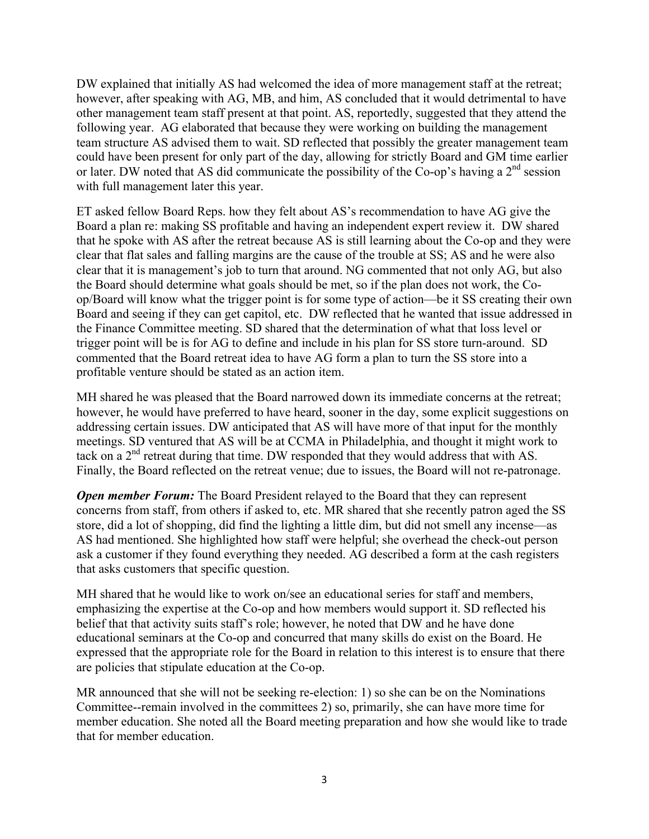DW explained that initially AS had welcomed the idea of more management staff at the retreat; however, after speaking with AG, MB, and him, AS concluded that it would detrimental to have other management team staff present at that point. AS, reportedly, suggested that they attend the following year. AG elaborated that because they were working on building the management team structure AS advised them to wait. SD reflected that possibly the greater management team could have been present for only part of the day, allowing for strictly Board and GM time earlier or later. DW noted that AS did communicate the possibility of the Co-op's having a 2<sup>nd</sup> session with full management later this year.

ET asked fellow Board Reps. how they felt about AS's recommendation to have AG give the Board a plan re: making SS profitable and having an independent expert review it. DW shared that he spoke with AS after the retreat because AS is still learning about the Co-op and they were clear that flat sales and falling margins are the cause of the trouble at SS; AS and he were also clear that it is management's job to turn that around. NG commented that not only AG, but also the Board should determine what goals should be met, so if the plan does not work, the Coop/Board will know what the trigger point is for some type of action—be it SS creating their own Board and seeing if they can get capitol, etc. DW reflected that he wanted that issue addressed in the Finance Committee meeting. SD shared that the determination of what that loss level or trigger point will be is for AG to define and include in his plan for SS store turn-around. SD commented that the Board retreat idea to have AG form a plan to turn the SS store into a profitable venture should be stated as an action item.

MH shared he was pleased that the Board narrowed down its immediate concerns at the retreat; however, he would have preferred to have heard, sooner in the day, some explicit suggestions on addressing certain issues. DW anticipated that AS will have more of that input for the monthly meetings. SD ventured that AS will be at CCMA in Philadelphia, and thought it might work to tack on a 2nd retreat during that time. DW responded that they would address that with AS. Finally, the Board reflected on the retreat venue; due to issues, the Board will not re-patronage.

*Open member Forum:* The Board President relayed to the Board that they can represent concerns from staff, from others if asked to, etc. MR shared that she recently patron aged the SS store, did a lot of shopping, did find the lighting a little dim, but did not smell any incense—as AS had mentioned. She highlighted how staff were helpful; she overhead the check-out person ask a customer if they found everything they needed. AG described a form at the cash registers that asks customers that specific question.

MH shared that he would like to work on/see an educational series for staff and members, emphasizing the expertise at the Co-op and how members would support it. SD reflected his belief that that activity suits staff's role; however, he noted that DW and he have done educational seminars at the Co-op and concurred that many skills do exist on the Board. He expressed that the appropriate role for the Board in relation to this interest is to ensure that there are policies that stipulate education at the Co-op.

MR announced that she will not be seeking re-election: 1) so she can be on the Nominations Committee--remain involved in the committees 2) so, primarily, she can have more time for member education. She noted all the Board meeting preparation and how she would like to trade that for member education.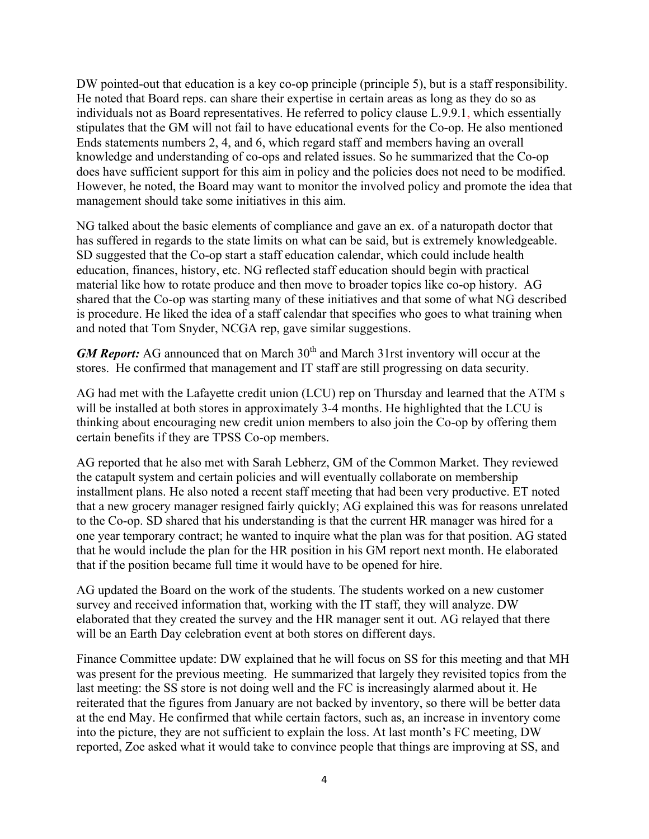DW pointed-out that education is a key co-op principle (principle 5), but is a staff responsibility. He noted that Board reps. can share their expertise in certain areas as long as they do so as individuals not as Board representatives. He referred to policy clause L.9.9.1, which essentially stipulates that the GM will not fail to have educational events for the Co-op. He also mentioned Ends statements numbers 2, 4, and 6, which regard staff and members having an overall knowledge and understanding of co-ops and related issues. So he summarized that the Co-op does have sufficient support for this aim in policy and the policies does not need to be modified. However, he noted, the Board may want to monitor the involved policy and promote the idea that management should take some initiatives in this aim.

NG talked about the basic elements of compliance and gave an ex. of a naturopath doctor that has suffered in regards to the state limits on what can be said, but is extremely knowledgeable. SD suggested that the Co-op start a staff education calendar, which could include health education, finances, history, etc. NG reflected staff education should begin with practical material like how to rotate produce and then move to broader topics like co-op history. AG shared that the Co-op was starting many of these initiatives and that some of what NG described is procedure. He liked the idea of a staff calendar that specifies who goes to what training when and noted that Tom Snyder, NCGA rep, gave similar suggestions.

*GM Report:* AG announced that on March 30<sup>th</sup> and March 31rst inventory will occur at the stores. He confirmed that management and IT staff are still progressing on data security.

AG had met with the Lafayette credit union (LCU) rep on Thursday and learned that the ATM s will be installed at both stores in approximately 3-4 months. He highlighted that the LCU is thinking about encouraging new credit union members to also join the Co-op by offering them certain benefits if they are TPSS Co-op members.

AG reported that he also met with Sarah Lebherz, GM of the Common Market. They reviewed the catapult system and certain policies and will eventually collaborate on membership installment plans. He also noted a recent staff meeting that had been very productive. ET noted that a new grocery manager resigned fairly quickly; AG explained this was for reasons unrelated to the Co-op. SD shared that his understanding is that the current HR manager was hired for a one year temporary contract; he wanted to inquire what the plan was for that position. AG stated that he would include the plan for the HR position in his GM report next month. He elaborated that if the position became full time it would have to be opened for hire.

AG updated the Board on the work of the students. The students worked on a new customer survey and received information that, working with the IT staff, they will analyze. DW elaborated that they created the survey and the HR manager sent it out. AG relayed that there will be an Earth Day celebration event at both stores on different days.

Finance Committee update: DW explained that he will focus on SS for this meeting and that MH was present for the previous meeting. He summarized that largely they revisited topics from the last meeting: the SS store is not doing well and the FC is increasingly alarmed about it. He reiterated that the figures from January are not backed by inventory, so there will be better data at the end May. He confirmed that while certain factors, such as, an increase in inventory come into the picture, they are not sufficient to explain the loss. At last month's FC meeting, DW reported, Zoe asked what it would take to convince people that things are improving at SS, and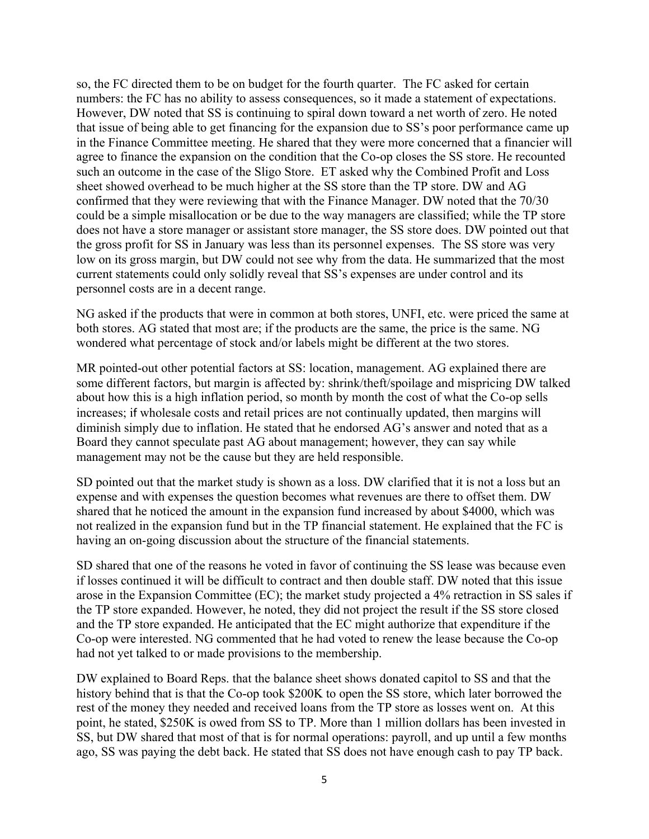so, the FC directed them to be on budget for the fourth quarter. The FC asked for certain numbers: the FC has no ability to assess consequences, so it made a statement of expectations. However, DW noted that SS is continuing to spiral down toward a net worth of zero. He noted that issue of being able to get financing for the expansion due to SS's poor performance came up in the Finance Committee meeting. He shared that they were more concerned that a financier will agree to finance the expansion on the condition that the Co-op closes the SS store. He recounted such an outcome in the case of the Sligo Store. ET asked why the Combined Profit and Loss sheet showed overhead to be much higher at the SS store than the TP store. DW and AG confirmed that they were reviewing that with the Finance Manager. DW noted that the 70/30 could be a simple misallocation or be due to the way managers are classified; while the TP store does not have a store manager or assistant store manager, the SS store does. DW pointed out that the gross profit for SS in January was less than its personnel expenses. The SS store was very low on its gross margin, but DW could not see why from the data. He summarized that the most current statements could only solidly reveal that SS's expenses are under control and its personnel costs are in a decent range.

NG asked if the products that were in common at both stores, UNFI, etc. were priced the same at both stores. AG stated that most are; if the products are the same, the price is the same. NG wondered what percentage of stock and/or labels might be different at the two stores.

MR pointed-out other potential factors at SS: location, management. AG explained there are some different factors, but margin is affected by: shrink/theft/spoilage and mispricing DW talked about how this is a high inflation period, so month by month the cost of what the Co-op sells increases; if wholesale costs and retail prices are not continually updated, then margins will diminish simply due to inflation. He stated that he endorsed AG's answer and noted that as a Board they cannot speculate past AG about management; however, they can say while management may not be the cause but they are held responsible.

SD pointed out that the market study is shown as a loss. DW clarified that it is not a loss but an expense and with expenses the question becomes what revenues are there to offset them. DW shared that he noticed the amount in the expansion fund increased by about \$4000, which was not realized in the expansion fund but in the TP financial statement. He explained that the FC is having an on-going discussion about the structure of the financial statements.

SD shared that one of the reasons he voted in favor of continuing the SS lease was because even if losses continued it will be difficult to contract and then double staff. DW noted that this issue arose in the Expansion Committee (EC); the market study projected a 4% retraction in SS sales if the TP store expanded. However, he noted, they did not project the result if the SS store closed and the TP store expanded. He anticipated that the EC might authorize that expenditure if the Co-op were interested. NG commented that he had voted to renew the lease because the Co-op had not yet talked to or made provisions to the membership.

DW explained to Board Reps. that the balance sheet shows donated capitol to SS and that the history behind that is that the Co-op took \$200K to open the SS store, which later borrowed the rest of the money they needed and received loans from the TP store as losses went on. At this point, he stated, \$250K is owed from SS to TP. More than 1 million dollars has been invested in SS, but DW shared that most of that is for normal operations: payroll, and up until a few months ago, SS was paying the debt back. He stated that SS does not have enough cash to pay TP back.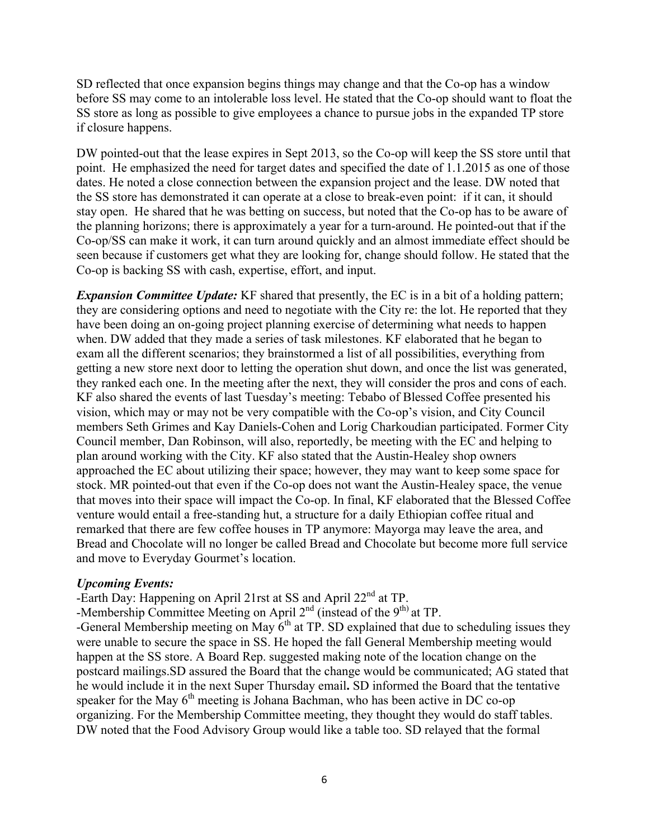SD reflected that once expansion begins things may change and that the Co-op has a window before SS may come to an intolerable loss level. He stated that the Co-op should want to float the SS store as long as possible to give employees a chance to pursue jobs in the expanded TP store if closure happens.

DW pointed-out that the lease expires in Sept 2013, so the Co-op will keep the SS store until that point. He emphasized the need for target dates and specified the date of 1.1.2015 as one of those dates. He noted a close connection between the expansion project and the lease. DW noted that the SS store has demonstrated it can operate at a close to break-even point: if it can, it should stay open. He shared that he was betting on success, but noted that the Co-op has to be aware of the planning horizons; there is approximately a year for a turn-around. He pointed-out that if the Co-op/SS can make it work, it can turn around quickly and an almost immediate effect should be seen because if customers get what they are looking for, change should follow. He stated that the Co-op is backing SS with cash, expertise, effort, and input.

*Expansion Committee Update:* KF shared that presently, the EC is in a bit of a holding pattern; they are considering options and need to negotiate with the City re: the lot. He reported that they have been doing an on-going project planning exercise of determining what needs to happen when. DW added that they made a series of task milestones. KF elaborated that he began to exam all the different scenarios; they brainstormed a list of all possibilities, everything from getting a new store next door to letting the operation shut down, and once the list was generated, they ranked each one. In the meeting after the next, they will consider the pros and cons of each. KF also shared the events of last Tuesday's meeting: Tebabo of Blessed Coffee presented his vision, which may or may not be very compatible with the Co-op's vision, and City Council members Seth Grimes and Kay Daniels-Cohen and Lorig Charkoudian participated. Former City Council member, Dan Robinson, will also, reportedly, be meeting with the EC and helping to plan around working with the City. KF also stated that the Austin-Healey shop owners approached the EC about utilizing their space; however, they may want to keep some space for stock. MR pointed-out that even if the Co-op does not want the Austin-Healey space, the venue that moves into their space will impact the Co-op. In final, KF elaborated that the Blessed Coffee venture would entail a free-standing hut, a structure for a daily Ethiopian coffee ritual and remarked that there are few coffee houses in TP anymore: Mayorga may leave the area, and Bread and Chocolate will no longer be called Bread and Chocolate but become more full service and move to Everyday Gourmet's location.

#### *Upcoming Events:*

-Earth Day: Happening on April 21rst at SS and April 22<sup>nd</sup> at TP.

-Membership Committee Meeting on April  $2<sup>nd</sup>$  (instead of the 9<sup>th)</sup> at TP.

-General Membership meeting on May  $6<sup>th</sup>$  at TP. SD explained that due to scheduling issues they were unable to secure the space in SS. He hoped the fall General Membership meeting would happen at the SS store. A Board Rep. suggested making note of the location change on the postcard mailings.SD assured the Board that the change would be communicated; AG stated that he would include it in the next Super Thursday email**.** SD informed the Board that the tentative speaker for the May  $6<sup>th</sup>$  meeting is Johana Bachman, who has been active in DC co-op organizing. For the Membership Committee meeting, they thought they would do staff tables. DW noted that the Food Advisory Group would like a table too. SD relayed that the formal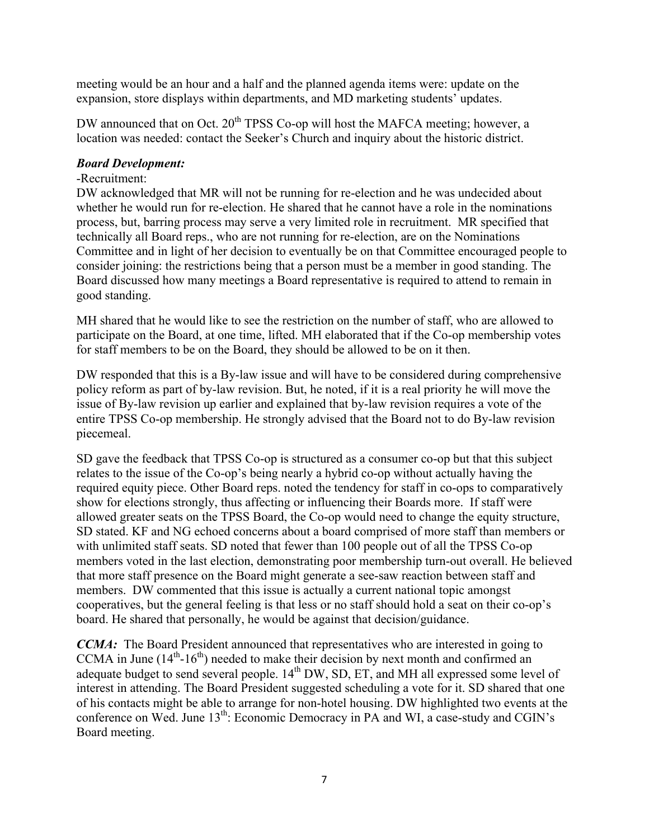meeting would be an hour and a half and the planned agenda items were: update on the expansion, store displays within departments, and MD marketing students' updates.

DW announced that on Oct. 20<sup>th</sup> TPSS Co-op will host the MAFCA meeting; however, a location was needed: contact the Seeker's Church and inquiry about the historic district.

#### *Board Development:*

#### -Recruitment:

DW acknowledged that MR will not be running for re-election and he was undecided about whether he would run for re-election. He shared that he cannot have a role in the nominations process, but, barring process may serve a very limited role in recruitment. MR specified that technically all Board reps., who are not running for re-election, are on the Nominations Committee and in light of her decision to eventually be on that Committee encouraged people to consider joining: the restrictions being that a person must be a member in good standing. The Board discussed how many meetings a Board representative is required to attend to remain in good standing.

MH shared that he would like to see the restriction on the number of staff, who are allowed to participate on the Board, at one time, lifted. MH elaborated that if the Co-op membership votes for staff members to be on the Board, they should be allowed to be on it then.

DW responded that this is a By-law issue and will have to be considered during comprehensive policy reform as part of by-law revision. But, he noted, if it is a real priority he will move the issue of By-law revision up earlier and explained that by-law revision requires a vote of the entire TPSS Co-op membership. He strongly advised that the Board not to do By-law revision piecemeal.

SD gave the feedback that TPSS Co-op is structured as a consumer co-op but that this subject relates to the issue of the Co-op's being nearly a hybrid co-op without actually having the required equity piece. Other Board reps. noted the tendency for staff in co-ops to comparatively show for elections strongly, thus affecting or influencing their Boards more. If staff were allowed greater seats on the TPSS Board, the Co-op would need to change the equity structure, SD stated. KF and NG echoed concerns about a board comprised of more staff than members or with unlimited staff seats. SD noted that fewer than 100 people out of all the TPSS Co-op members voted in the last election, demonstrating poor membership turn-out overall. He believed that more staff presence on the Board might generate a see-saw reaction between staff and members. DW commented that this issue is actually a current national topic amongst cooperatives, but the general feeling is that less or no staff should hold a seat on their co-op's board. He shared that personally, he would be against that decision/guidance.

*CCMA*: The Board President announced that representatives who are interested in going to CCMA in June  $(14<sup>th</sup>-16<sup>th</sup>)$  needed to make their decision by next month and confirmed an adequate budget to send several people.  $14<sup>th</sup>$  DW, SD, ET, and MH all expressed some level of interest in attending. The Board President suggested scheduling a vote for it. SD shared that one of his contacts might be able to arrange for non-hotel housing. DW highlighted two events at the conference on Wed. June 13<sup>th</sup>: Economic Democracy in PA and WI, a case-study and CGIN's Board meeting.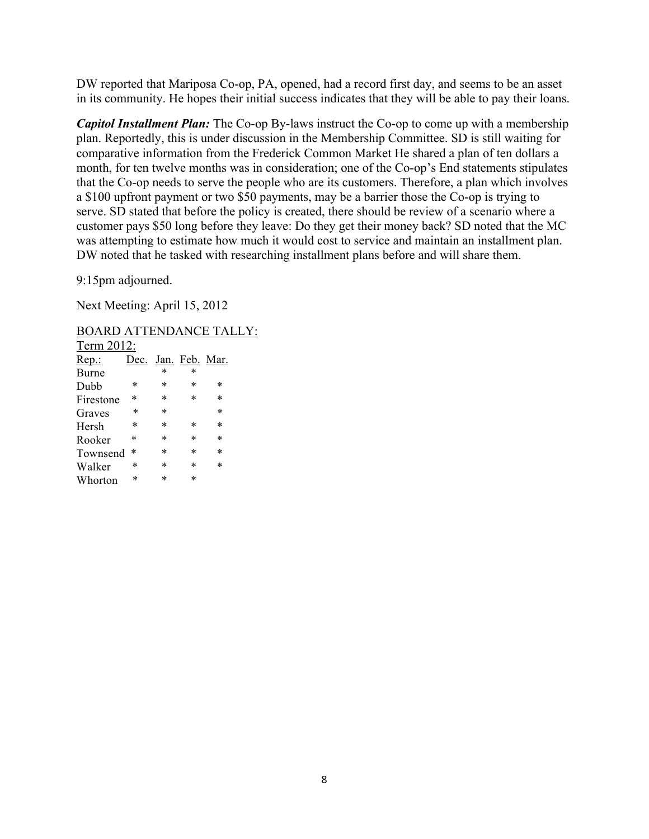DW reported that Mariposa Co-op, PA, opened, had a record first day, and seems to be an asset in its community. He hopes their initial success indicates that they will be able to pay their loans.

*Capitol Installment Plan:* The Co-op By-laws instruct the Co-op to come up with a membership plan. Reportedly, this is under discussion in the Membership Committee. SD is still waiting for comparative information from the Frederick Common Market He shared a plan of ten dollars a month, for ten twelve months was in consideration; one of the Co-op's End statements stipulates that the Co-op needs to serve the people who are its customers. Therefore, a plan which involves a \$100 upfront payment or two \$50 payments, may be a barrier those the Co-op is trying to serve. SD stated that before the policy is created, there should be review of a scenario where a customer pays \$50 long before they leave: Do they get their money back? SD noted that the MC was attempting to estimate how much it would cost to service and maintain an installment plan. DW noted that he tasked with researching installment plans before and will share them.

9:15pm adjourned.

Next Meeting: April 15, 2012

BOARD ATTENDANCE TALLY:

| Term 2012: |        |        |                |        |  |
|------------|--------|--------|----------------|--------|--|
| Rep.       | Dec.   |        | Jan. Feb. Mar. |        |  |
| Burne      |        | $\ast$ | $\ast$         |        |  |
| Dubb       | ∗      | ∗      | ∗              | ∗      |  |
| Firestone  | ∗      | $\ast$ | $\ast$         | $\ast$ |  |
| Graves     | $\ast$ | $\ast$ |                | $\ast$ |  |
| Hersh      | ∗      | $\ast$ | ∗              | $\ast$ |  |
| Rooker     | *      | $\ast$ | $\ast$         | $\ast$ |  |
| Townsend   | $\ast$ | $\ast$ | $\ast$         | $\ast$ |  |
| Walker     | ∗      | $\ast$ | $\ast$         | $\ast$ |  |
| Whorton    | $\ast$ | *      | $\ast$         |        |  |